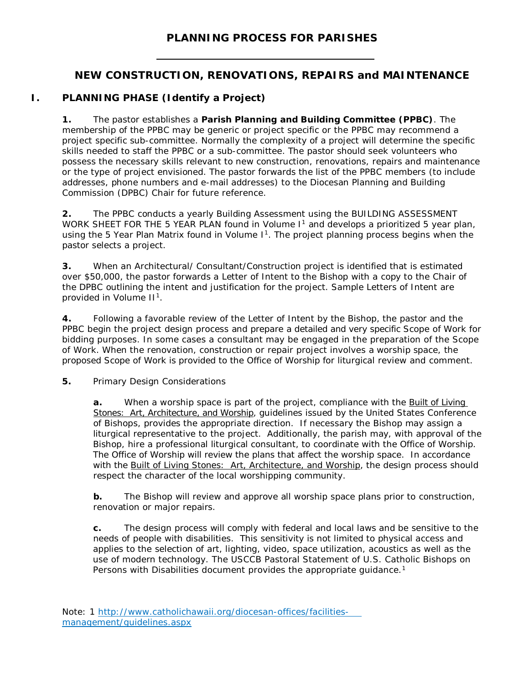## **PLANNING PROCESS FOR PARISHES**

## **NEW CONSTRUCTION, RENOVATIONS, REPAIRS and MAINTENANCE**

## **I. PLANNING PHASE (Identify a Project)**

**1.** The pastor establishes a **Parish Planning and Building Committee (PPBC)**. The membership of the PPBC may be generic or project specific or the PPBC may recommend a project specific sub-committee. Normally the complexity of a project will determine the specific skills needed to staff the PPBC or a sub-committee. The pastor should seek volunteers who possess the necessary skills relevant to new construction, renovations, repairs and maintenance or the type of project envisioned. The pastor forwards the list of the PPBC members (to include addresses, phone numbers and e-mail addresses) to the Diocesan Planning and Building Commission (DPBC) Chair for future reference.

**2.** The PPBC conducts a yearly Building Assessment using the BUILDING ASSESSMENT WORK SHEET FOR THE 5 YEAR PLAN found in Volume I<sup>1</sup> and develops a prioritized 5 year plan, using the 5 Year Plan Matrix found in Volume I<sup>1</sup>. The project planning process begins when the pastor selects a project.

**3.** When an Architectural/ Consultant/Construction project is identified that is estimated over \$50,000, the pastor forwards a Letter of Intent to the Bishop with a copy to the Chair of the DPBC outlining the intent and justification for the project. Sample Letters of Intent are provided in Volume II<sup>1</sup>.

**4.** Following a favorable review of the Letter of Intent by the Bishop, the pastor and the PPBC begin the project design process and prepare a detailed and very specific Scope of Work for bidding purposes. In some cases a consultant may be engaged in the preparation of the Scope of Work. When the renovation, construction or repair project involves a worship space, the proposed Scope of Work is provided to the Office of Worship for liturgical review and comment.

**5.** Primary Design Considerations

**a.** When a worship space is part of the project, compliance with the Built of Living Stones: Art, Architecture, and Worship, guidelines issued by the United States Conference of Bishops, provides the appropriate direction. If necessary the Bishop may assign a liturgical representative to the project. Additionally, the parish may, with approval of the Bishop, hire a professional liturgical consultant, to coordinate with the Office of Worship. The Office of Worship will review the plans that affect the worship space. In accordance with the Built of Living Stones: Art, Architecture, and Worship, the design process should respect the character of the local worshipping community.

**b.** The Bishop will review and approve all worship space plans prior to construction, renovation or major repairs.

**c.** The design process will comply with federal and local laws and be sensitive to the needs of people with disabilities. This sensitivity is not limited to physical access and applies to the selection of art, lighting, video, space utilization, acoustics as well as the use of modern technology. The USCCB Pastoral Statement of U.S. Catholic Bishops on Persons with Disabilities document provides the appropriate quidance.<sup>1</sup>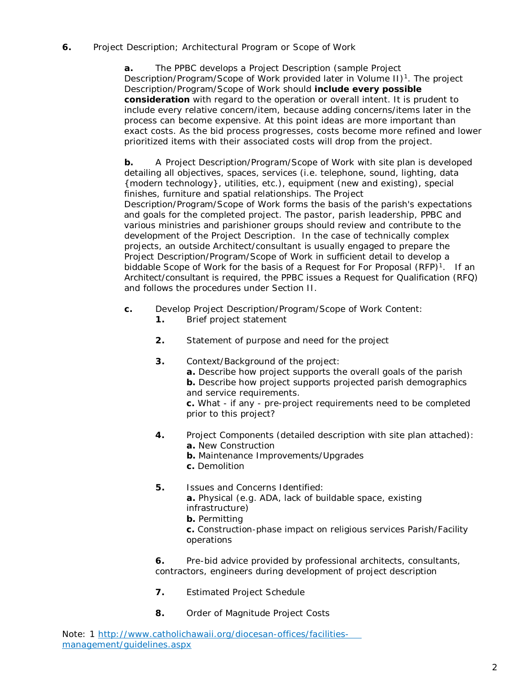#### **6.** Project Description; Architectural Program or Scope of Work

**a.** The PPBC develops a Project Description (sample Project Description/Program/Scope of Work provided later in Volume II)<sup>1</sup>. The project Description/Program/Scope of Work should *include every possible consideration* with regard to the operation or overall intent. It is prudent to include every relative concern/item, because adding concerns/items later in the process can become expensive. At this point ideas are more important than exact costs. As the bid process progresses, costs become more refined and lower prioritized items with their associated costs will drop from the project.

**b.** A Project Description/Program/Scope of Work with site plan is developed detailing all objectives, spaces, services (i.e. telephone, sound, lighting, data {modern technology}, utilities, etc.), equipment (new and existing), special finishes, furniture and spatial relationships. The Project Description/Program/Scope of Work forms the basis of the parish's expectations and goals for the completed project. The pastor, parish leadership, PPBC and various ministries and parishioner groups should review and contribute to the development of the Project Description. In the case of technically complex projects, an outside Architect/consultant is usually engaged to prepare the Project Description/Program/Scope of Work in sufficient detail to develop a biddable Scope of Work for the basis of a Request for For Proposal  $(RFP)^1$ . If an Architect/consultant is required, the PPBC issues a Request for Qualification (RFQ) and follows the procedures under Section II.

- **c.** Develop Project Description/Program/Scope of Work Content:
	- **1.** Brief project statement
	- **2.** Statement of purpose and need for the project
	- **3.** Context/Background of the project:

**a.** Describe how project supports the overall goals of the parish **b.** Describe how project supports projected parish demographics and service requirements.

**c.** What - if any - pre-project requirements need to be completed prior to this project?

- **4.** Project Components (detailed description with site plan attached): **a.** New Construction
	- **b.** Maintenance Improvements/Upgrades
	- **c.** Demolition
- **5.** Issues and Concerns Identified: **a.** Physical (e.g. ADA, lack of buildable space, existing infrastructure) **b.** Permitting **c.** Construction-phase impact on religious services Parish/Facility operations

**6.** Pre-bid advice provided by professional architects, consultants, contractors, engineers during development of project description

- **7.** Estimated Project Schedule
- **8.** Order of Magnitude Project Costs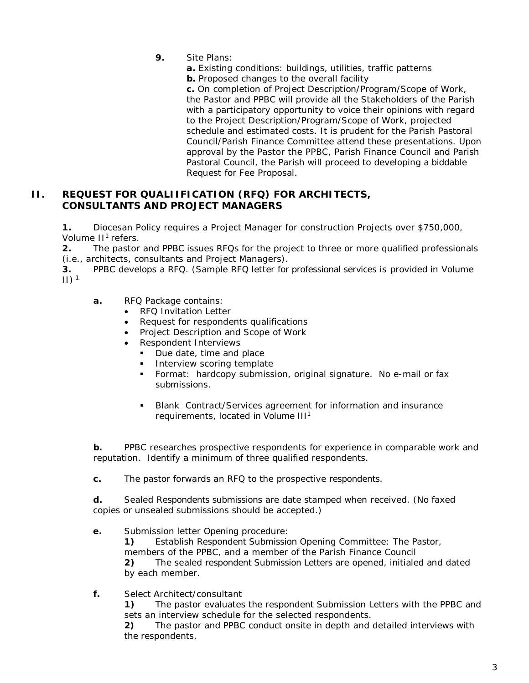- **9.** Site Plans:
	- **a.** Existing conditions: buildings, utilities, traffic patterns
	- **b.** Proposed changes to the overall facility

**c.** On completion of Project Description/Program/Scope of Work, the Pastor and PPBC will provide all the Stakeholders of the Parish with a participatory opportunity to voice their opinions with regard to the Project Description/Program/Scope of Work, projected schedule and estimated costs. It is prudent for the Parish Pastoral Council/Parish Finance Committee attend these presentations. Upon approval by the Pastor the PPBC, Parish Finance Council and Parish Pastoral Council, the Parish will proceed to developing a biddable Request for Fee Proposal.

#### **II. REQUEST FOR QUALIIFICATION (RFQ) FOR ARCHITECTS, CONSULTANTS AND PROJECT MANAGERS**

**1.** Diocesan Policy requires a Project Manager for construction Projects over \$750,000, Volume II<sup>1</sup> refers.

**2.** The pastor and PPBC issues RFQs for the project to three or more qualified professionals (i.e., architects, consultants and Project Managers).

**3.** PPBC develops a RFQ. (Sample RFQ letter for professional services is provided in Volume  $\left| \right| \right|$ <sup>1</sup>

- **a.** RFQ Package contains:
	- RFQ Invitation Letter
	- Request for respondents qualifications
	- Project Description and Scope of Work
	- Respondent Interviews
		- Due date, time and place
		- Interview scoring template
		- Format: hardcopy submission, original signature. No e-mail or fax submissions.
		- Blank Contract/Services agreement for information and insurance requirements, located in Volume III<sup>1</sup>

**b.** PPBC researches prospective respondents for experience in comparable work and reputation. Identify a minimum of three qualified respondents.

**c.** The pastor forwards an RFQ to the prospective respondents.

**d.** Sealed Respondents submissions are date stamped when received. (No faxed copies or unsealed submissions should be accepted.)

**e.** Submission letter Opening procedure:

**1)** Establish Respondent Submission Opening Committee: The Pastor, members of the PPBC, and a member of the Parish Finance Council

**2)** The sealed respondent Submission Letters are opened, initialed and dated by each member.

**f.** Select Architect/consultant

**1)** The pastor evaluates the respondent Submission Letters with the PPBC and sets an interview schedule for the selected respondents.

**2)** The pastor and PPBC conduct onsite in depth and detailed interviews with the respondents.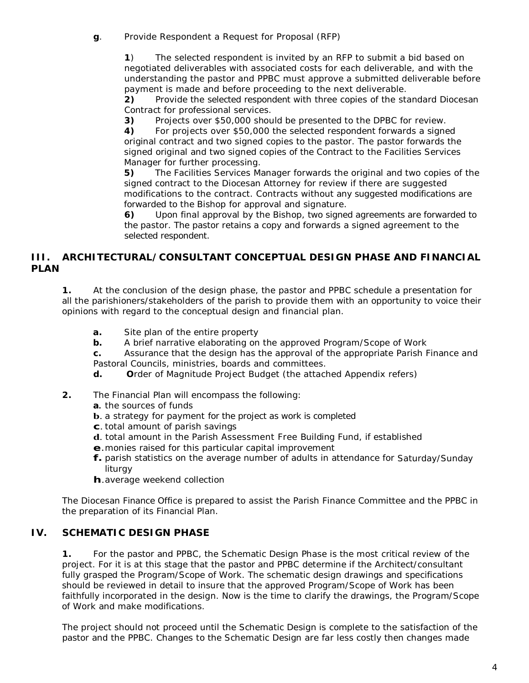**g**. Provide Respondent a Request for Proposal (RFP)

**1**) The selected respondent is invited by an RFP to submit a bid based on negotiated deliverables with associated costs for each deliverable, and with the understanding the pastor and PPBC must approve a submitted deliverable before payment is made and before proceeding to the next deliverable.

**2)** Provide the selected respondent with three copies of the standard Diocesan Contract for professional services.

**3)** Projects over \$50,000 should be presented to the DPBC for review.

**4)** For projects over \$50,000 the selected respondent forwards a signed original contract and two signed copies to the pastor. The pastor forwards the signed original and two signed copies of the Contract to the Facilities Services Manager for further processing.

**5)** The Facilities Services Manager forwards the original and two copies of the signed contract to the Diocesan Attorney for review if there are suggested modifications to the contract. Contracts without any suggested modifications are forwarded to the Bishop for approval and signature.

**6)** Upon final approval by the Bishop, two signed agreements are forwarded to the pastor. The pastor retains a copy and forwards a signed agreement to the selected respondent.

#### **III. ARCHITECTURAL/CONSULTANT CONCEPTUAL DESIGN PHASE AND FINANCIAL PLAN**

**1.** At the conclusion of the design phase, the pastor and PPBC schedule a presentation for all the parishioners/stakeholders of the parish to provide them with an opportunity to voice their opinions with regard to the conceptual design and financial plan.

- **a.** Site plan of the entire property
- **b.** A brief narrative elaborating on the approved Program/Scope of Work

**c.** Assurance that the design has the approval of the appropriate Parish Finance and Pastoral Councils, ministries, boards and committees.

- **d. O**rder of Magnitude Project Budget (the attached Appendix refers)
- **2.** The Financial Plan will encompass the following:
	- **a.** the sources of funds
	- **b**. a strategy for payment for the project as work is completed
	- **c**. total amount of parish savings
	- **d**. total amount in the Parish Assessment Free Building Fund, if established
	- **e**.monies raised for this particular capital improvement
	- **f.** parish statistics on the average number of adults in attendance for Saturday/Sunday liturgy
	- **h**.average weekend collection

The Diocesan Finance Office is prepared to assist the Parish Finance Committee and the PPBC in the preparation of its Financial Plan.

#### **IV. SCHEMATIC DESIGN PHASE**

**1.** For the pastor and PPBC, the Schematic Design Phase is the most critical review of the project. For it is at this stage that the pastor and PPBC determine if the Architect/consultant fully grasped the Program/Scope of Work. The schematic design drawings and specifications should be reviewed in detail to insure that the approved Program/Scope of Work has been faithfully incorporated in the design. Now is the time to clarify the drawings, the Program/Scope of Work and make modifications.

The project should not proceed until the Schematic Design is complete to the satisfaction of the pastor and the PPBC. Changes to the Schematic Design are far less costly then changes made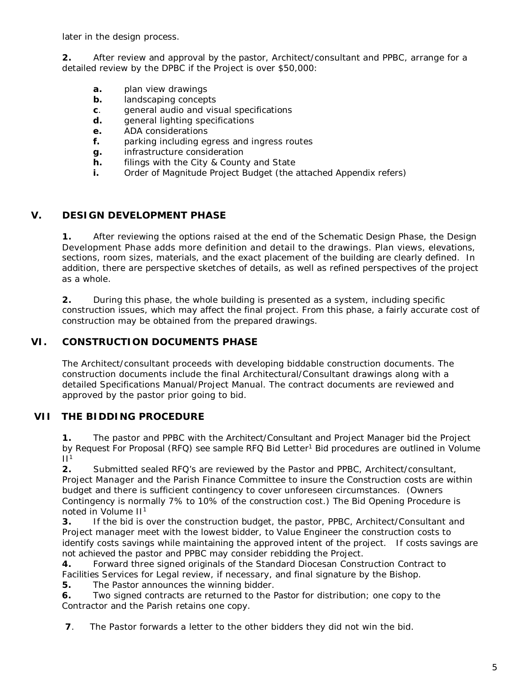later in the design process.

**2.** After review and approval by the pastor, Architect/consultant and PPBC, arrange for a detailed review by the DPBC if the Project is over \$50,000:

- **a.** plan view drawings
- **b.** landscaping concepts
- **c**. general audio and visual specifications
- **d.** general lighting specifications
- **e.** ADA considerations
- **f.** parking including egress and ingress routes
- **g.** infrastructure consideration
- **h.** filings with the City & County and State
- **i.** Order of Magnitude Project Budget (the attached Appendix refers)

### **V. DESIGN DEVELOPMENT PHASE**

**1.** After reviewing the options raised at the end of the Schematic Design Phase, the Design Development Phase adds more definition and detail to the drawings. Plan views, elevations, sections, room sizes, materials, and the exact placement of the building are clearly defined. In addition, there are perspective sketches of details, as well as refined perspectives of the project as a whole.

**2.** During this phase, the whole building is presented as a system, including specific construction issues, which may affect the final project. From this phase, a fairly accurate cost of construction may be obtained from the prepared drawings.

#### **VI. CONSTRUCTION DOCUMENTS PHASE**

The Architect/consultant proceeds with developing biddable construction documents. The construction documents include the final Architectural/Consultant drawings along with a detailed Specifications Manual/Project Manual. The contract documents are reviewed and approved by the pastor prior going to bid.

#### **VII THE BIDDING PROCEDURE**

**1.** The pastor and PPBC with the Architect/Consultant and Project Manager bid the Project by Request For Proposal (RFQ) see sample RFQ Bid Letter<sup>1</sup> Bid procedures are outlined in Volume  $II<sup>1</sup>$ 

**2.** Submitted sealed RFQ's are reviewed by the Pastor and PPBC, Architect/consultant, Project Manager and the Parish Finance Committee to insure the Construction costs are within budget and there is sufficient contingency to cover unforeseen circumstances. (Owners Contingency is normally 7% to 10% of the construction cost.) The Bid Opening Procedure is noted in Volume II1

**3.** If the bid is over the construction budget, the pastor, PPBC, Architect/Consultant and Project manager meet with the lowest bidder, to Value Engineer the construction costs to identify costs savings while maintaining the approved intent of the project. If costs savings are not achieved the pastor and PPBC may consider rebidding the Project.

**4.** Forward three signed originals of the Standard Diocesan Construction Contract to Facilities Services for Legal review, if necessary, and final signature by the Bishop.

**5.** The Pastor announces the winning bidder.

**6.** Two signed contracts are returned to the Pastor for distribution; one copy to the Contractor and the Parish retains one copy.

**7**. The Pastor forwards a letter to the other bidders they did not win the bid.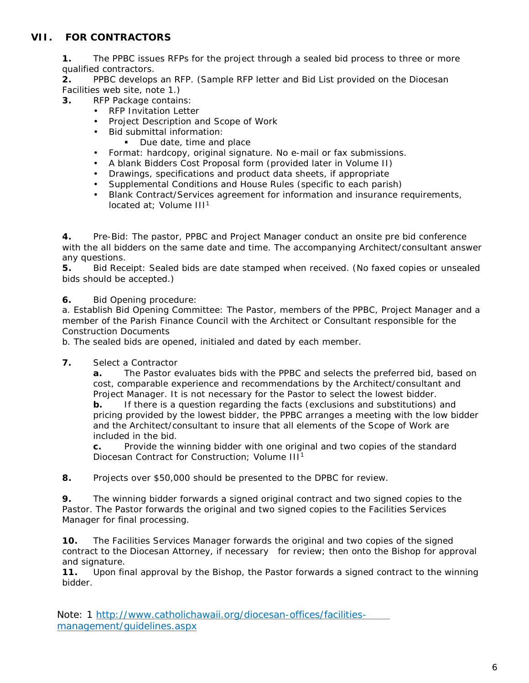# **VII. FOR CONTRACTORS**

**1.** The PPBC issues RFPs for the project through a sealed bid process to three or more qualified contractors.

**2.** PPBC develops an RFP. (Sample RFP letter and Bid List provided on the Diocesan Facilities web site, note 1.)

**3.** RFP Package contains:

- RFP Invitation Letter
- Project Description and Scope of Work
- Bid submittal information:
	- Due date, time and place
- Format: hardcopy, original signature. No e-mail or fax submissions.
- A blank Bidders Cost Proposal form (provided later in Volume II)
- Drawings, specifications and product data sheets, if appropriate
- Supplemental Conditions and House Rules (specific to each parish)
- Blank Contract/Services agreement for information and insurance requirements, located at: Volume  $III<sup>1</sup>$

**4.** Pre-Bid: The pastor, PPBC and Project Manager conduct an onsite pre bid conference with the all bidders on the same date and time. The accompanying Architect/consultant answer any questions.

**5.** Bid Receipt: Sealed bids are date stamped when received. (No faxed copies or unsealed bids should be accepted.)

**6.** Bid Opening procedure:

a. Establish Bid Opening Committee: The Pastor, members of the PPBC, Project Manager and a member of the Parish Finance Council with the Architect or Consultant responsible for the Construction Documents

b. The sealed bids are opened, initialed and dated by each member.

**7.** Select a Contractor

**a.** The Pastor evaluates bids with the PPBC and selects the preferred bid, based on cost, comparable experience and recommendations by the Architect/consultant and Project Manager. It is not necessary for the Pastor to select the lowest bidder.

**b.** If there is a question regarding the facts (exclusions and substitutions) and pricing provided by the lowest bidder, the PPBC arranges a meeting with the low bidder and the Architect/consultant to insure that all elements of the Scope of Work are included in the bid.

**c.** Provide the winning bidder with one original and two copies of the standard Diocesan Contract for Construction; Volume III<sup>1</sup>

**8.** Projects over \$50,000 should be presented to the DPBC for review.

**9.** The winning bidder forwards a signed original contract and two signed copies to the Pastor. The Pastor forwards the original and two signed copies to the Facilities Services Manager for final processing.

**10.** The Facilities Services Manager forwards the original and two copies of the signed contract to the Diocesan Attorney, if necessary for review; then onto the Bishop for approval and signature.

**11.** Upon final approval by the Bishop, the Pastor forwards a signed contract to the winning bidder.

Note: 1 http://www.catholichawaii.org/diocesan-offices/facilitiesmanagement/guidelines.aspx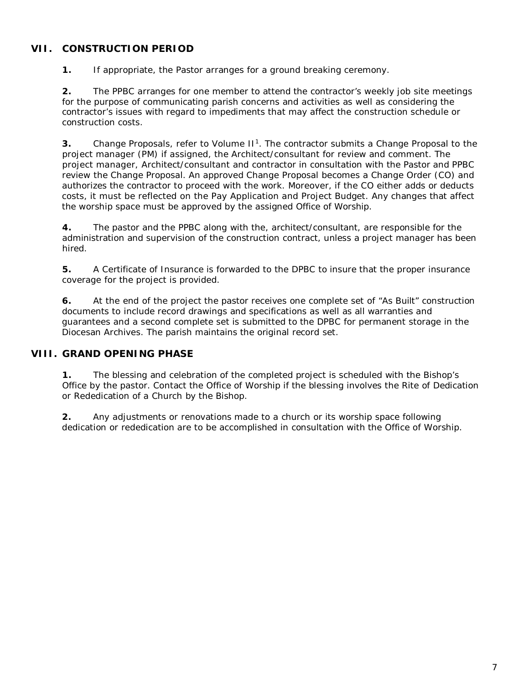## **VII. CONSTRUCTION PERIOD**

**1.** If appropriate, the Pastor arranges for a ground breaking ceremony.

**2.** The PPBC arranges for one member to attend the contractor's weekly job site meetings for the purpose of communicating parish concerns and activities as well as considering the contractor's issues with regard to impediments that may affect the construction schedule or construction costs.

**3.** Change Proposals, refer to Volume II<sup>1</sup>. The contractor submits a Change Proposal to the project manager (PM) if assigned, the Architect/consultant for review and comment. The project manager, Architect/consultant and contractor in consultation with the Pastor and PPBC review the Change Proposal. An approved Change Proposal becomes a Change Order (CO) and authorizes the contractor to proceed with the work. Moreover, if the CO either adds or deducts costs, it must be reflected on the Pay Application and Project Budget. Any changes that affect the worship space must be approved by the assigned Office of Worship.

**4.** The pastor and the PPBC along with the, architect/consultant, are responsible for the administration and supervision of the construction contract, unless a project manager has been hired.

**5.** A Certificate of Insurance is forwarded to the DPBC to insure that the proper insurance coverage for the project is provided.

**6.** At the end of the project the pastor receives one complete set of "As Built" construction documents to include record drawings and specifications as well as all warranties and guarantees and a second complete set is submitted to the DPBC for permanent storage in the Diocesan Archives. The parish maintains the original record set.

## **VIII. GRAND OPENING PHASE**

**1.** The blessing and celebration of the completed project is scheduled with the Bishop's Office by the pastor. Contact the Office of Worship if the blessing involves the Rite of Dedication or Rededication of a Church by the Bishop.

**2.** Any adjustments or renovations made to a church or its worship space following dedication or rededication are to be accomplished in consultation with the Office of Worship.